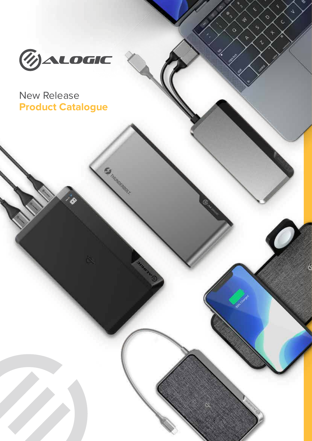

∾

 $\overline{\mathcal{L}}$ 

 $\ddot{\text{C}}$ 

k.

 $\epsilon_{\rm s}$ 

 $\mathcal{L}$ 

4

 $\varphi$ 

 $\circ$ 

 $\ddot{}$ 

 $\bullet$ 

 $\circ$ 

# New Release **Product Catalogue**

**BO** 

Ď.

**Samuranger**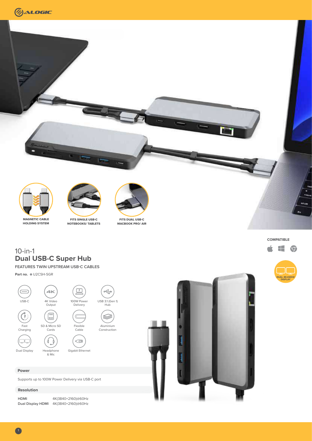



## 10-in-1 **Dual USB-C Super Hub**

**FEATURES TWIN UPSTREAM USB-C CABLES**

**Part no.**  $\bullet$  U2CSH-SGR



#### **Power**

Supports up to 100W Power Delivery via USB-C port

### **Resolution**

| <b>HDMI</b>       | 4K(3840×2160)@60Hz |
|-------------------|--------------------|
| Dual Display HDMI | 4K(3840×2160)@60Hz |



**COMPATIBLE**

Æ  $\circ$ 

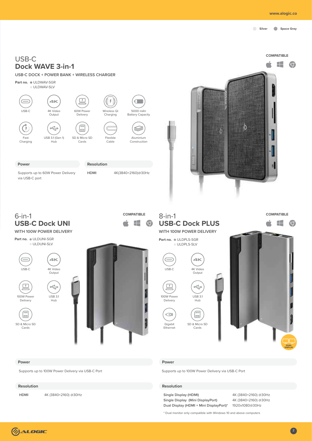$\circ$ 

## USB-C **Dock WAVE 3-in-1**

**USB-C DOCK + POWER BANK + WIRELESS CHARGER** 

**Part no.** OULDWAV-SGR ULDWAV-SLV



Supports up to 60W Power Delivery **HDMI** 4K(3840×2160)@30Hz via USB-C port



Æ

0



# 6-in-1 **USB-C Dock UNI**

**WITH 100W POWER DELIVERY**



SD & Micro SD Cards

 $\boxed{\square}$ 

Delivery



### 8-in-1 **USB-C Dock PLUS WITH 100W POWER DELIVERY COMPATIBLE Q** in 1

**Part no.**  $\bullet$  ULDPLS-SGR ULDPLS-SLV



É  $\begin{pmatrix} 1 \\ -1 \\ -1 \end{pmatrix}$ 100W Powe USB 3.1 Delivery Hub





#### **Power Power**

Gigabit Ethernet

 $\subseteq$ 

Supports up to 100W Power Delivery via USB-C Port

#### **Resolution Resolution**

**Single Display (HDMI)** 4K (3840×2160) @30Hz<br>**Single Display (Mini DisplayPort)** 4K (3840×2160) @30Hz Single Display (Mini DisplayPort) **Dual Display (HDMI + Mini DisplayPort)\*** 1920x1080@30Hz

\* Dual monitor only compatible with Windows 10 and above computers



Supports up to 100W Power Delivery via USB-C Port

Hub

**HDMI** 4K (3840×2160) @30Hz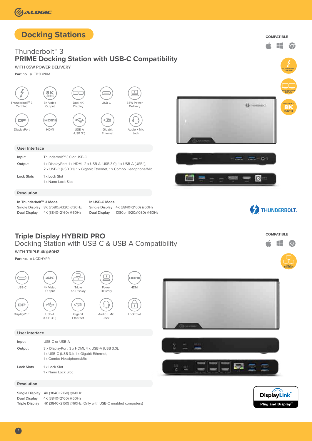# **Docking Stations**

## Thunderbolt™ 3 **PRIME Docking Station with USB-C Compatibility**

**WITH 85W POWER DELIVERY**

**Part no. • TB3DPRM** 



#### **User Interface**

| Input             | Thunderbolt™ 3.0 or USB-C                                                                                                                |
|-------------------|------------------------------------------------------------------------------------------------------------------------------------------|
| Output            | 1 x DisplayPort, 1 x HDMI, 2 x USB-A (USB 3.0), 1 x USB-A (USB.1),<br>2 x USB-C (USB 3.1), 1 x Gigabit Ethernet, 1 x Combo Headphone/Mic |
| <b>Lock Slots</b> | 1 x Lock Slot<br>1 x Nano Lock Slot                                                                                                      |

#### **Resolution**

**In Thunderbolt™ 3 Mode Single Display** 8K (7680x4320) @30Hz **Dual Display** 4K (3840×2160) @60Hz

### **In USB-C Mode Single Display** 4K (3840×2160) @60Hz

**Dual Display** 1080p (1920x1080) @60Hz





**COMPATIBLE**

Æ

**TRIPLE** 

 $\infty$ 

**DUAL 4K@60HZ DISPLAY**

**8K**<br><sup>@30Hz</sup>

**C** THUNDERBOLT

**THUNDERBOLT<sup>M</sup>3 CERTIFIED**

 $\circ$ 

**COMPATIBLE**

82

### **Triple Display HYBRID PRO**  Docking Station with USB-C & USB-A Compatibility

#### **WITH TRIPLE 4K@60HZ**

**Part no.**  $\bullet$  UCDHYPR



DisplayPort USB-A







HDMI

#### **User Interface**

(USB 3.0)

| Input             | USB-C or USB-A                                                                                                           |
|-------------------|--------------------------------------------------------------------------------------------------------------------------|
| Output            | 3 x DisplayPort, 3 x HDMI, 4 x USB-A (USB 3.0),<br>1 x USB-C (USB 3.1), 1 x Gigabit Ethernet,<br>1 x Combo Headphone/Mic |
| <b>Lock Slots</b> | 1 x Lock Slot<br>1 x Nano Lock Slot                                                                                      |



**Single Display** 4K (3840×2160) @60Hz **Dual Display** 4K (3840×2160) @60Hz **Triple Display** 4K (3840×2160) @60Hz (Only with USB-C enabled computers)







3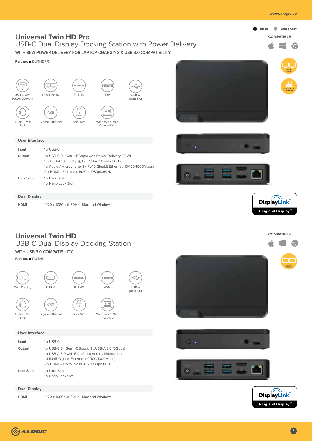

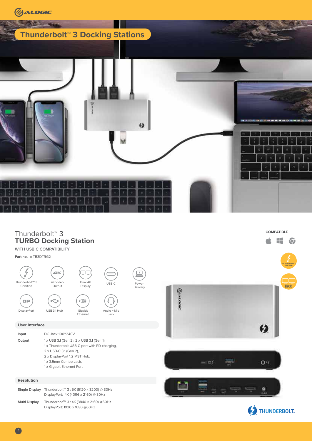

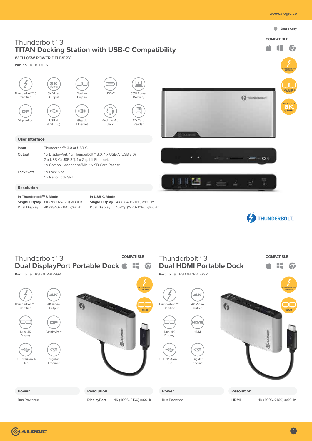





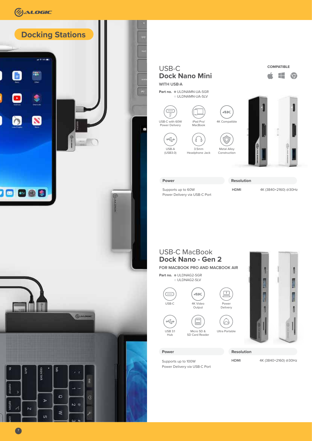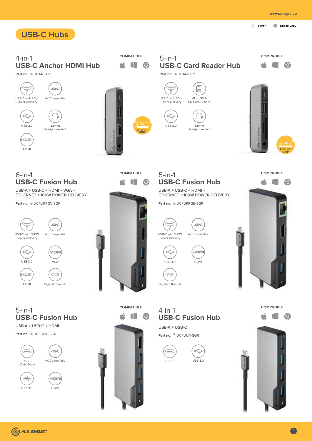

**COMPATIBLE** Æ  $\triangle$  $\circ$ 



**COMPATIBLE**











USB 3.0

HDMI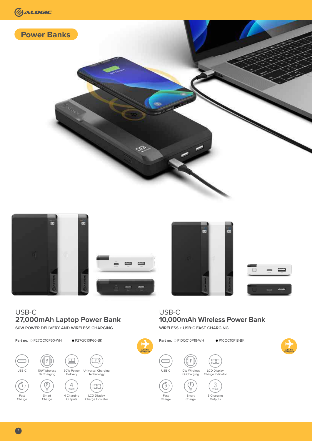







**10,000mAh Wireless Power Bank** 

**WIRELESS + USB-C FAST CHARGING** 



## USB-C **27,000mAh Laptop Power Bank**

**60W POWER DELIVERY AND WIRELESS CHARGING** 



USB-C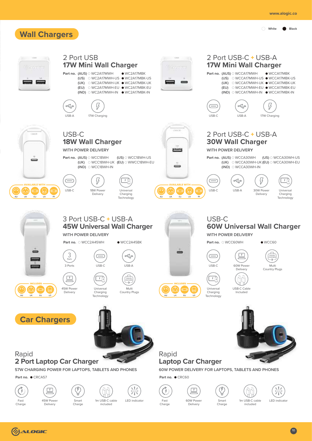

#### 2 Port USB 2 Port USB-C + USB-A **17W Mini Wall Charger 17W Mini Wall Charger Part no.** (AUS) O WC2A17MWH  $\bullet$  WC2A17MBK **Part no. (AUS)** O WCCA17MWH  $\bullet$  WCCA17MBK **(US)** WC2A17MWH-US WC2A17MBK-US **(US)** WCCA17MWH-US WCCA17MBK-US - -**(UK)** ○ WC2A17MWH-UK ● WC2A17MBK-UK ۰ **(UK)** OWCCA17MWH-UK WCCA17MBK-UK **(EU)** WC2A17MWH-EU WC2A17MBK-EU **(EU)** WCCA17MWH-EU WCCA17MBK-EU **(IND)** ○ WC2A17MWH-IN ● WC2A17MBK-IN **(IND)** ○ WCCA17MWH-IN ● WCCA17MBK-IN  $\frac{1}{\sqrt{2}}$ USB-A 17W Charging USB-C USB-A 17W Charging 2 Port USB-C + USB-A USB-C **18W Wall Charger 30W Wall Charger** paint **WITH POWER DELIVERY WITH POWER DELIVERY Part no.** (AUS)  $\odot$  WCC18WH (US)  $\odot$  WCC18WH-US **Part no. (AUS)** WCCA30WH **(US)** WCCA30WH-US **(UK)** WCCA30WH-UK **(EU)** WCCA30WH-EU **(UK)** WCC18WH-UK **(EU)** WWCC18WH-EU **(IND)** WCCA30WH-IN **(IND)** WCC18WH-IN AVAILABLE WITH AVAILABLE WITH ಄  $\Box$ USB-C 18W Power Universal <u>. ಾ</u>  $\boxed{1}$  $USR-C$   $USR-A$  30W Power Universal Delivery Charging Delivery Charging **IN** Technology **IN** Technology 3 Port USB-C + USB-A USB-C **45W Universal Wall Charger 60W Universal Wall Charger WITH POWER DELIVERY WITH POWER DELIVERY Part no.** OWCC2A45WH WCC2A45BK **Part no.** O WCC60WH WCC60  $\mathbf{\Xi}$  $3<sub>Port</sub>$ ×  $\circ \xi^{\circ}_{\alpha}$  $\subset$ EDITION Ξ Multi 3 Ports USB-C USB-A USB-C 60W Power Delivery Country Plugs  $\Box$  $\sqrt{1+\frac{1}{2}}$  $\Box$ TRAVEL <u>ЛД</u> 45W Power Universal USB-C Cable Universal Multi Delivery Charging Charging Country Plugs Included ÷. **Technology Technology Car Chargers** Rapid Rapid **2 Port Laptop Car Charger Laptop Car Charger 57W CHARGING POWER FOR LAPTOPS, TABLETS AND PHONES 60W POWER DELIVERY FOR LAPTOPS, TABLETS AND PHONES** Part no. CRCA57 **Part no. • CRC60**  $\binom{r}{r}$  $\sqrt{1}$  $\overline{1}$ ר א ר זר. 1m USB-C cable LED indicator 45W Power Smart 1m USB-C cable LED indicator Fast 60W Power Smart Charge Charge Charge Delivery included Deliveryincluded

# **(7) ALOGIC**

Fast Charge

 $(\bar{r})$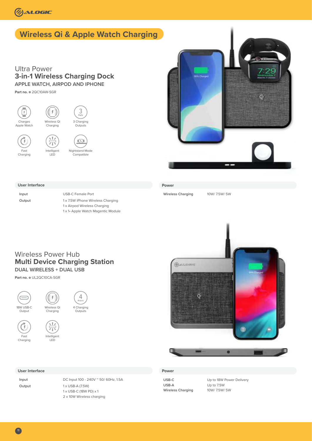

# **Wireless Qi & Apple Watch Charging**

### Ultra Power **3-in-1 Wireless Charging Dock APPLE WATCH, AIRPOD AND IPHONE**

**Part no.** 2QC10AW-SGR





### **Power**

**Wireless Charging** 10W/ 7.5W/ 5W

#### **User Interface**

**Input** USB-C Female Port **Output** 1 x 7.5W iPhone Wireless Charging 1 x Airpod Wireless Charging 1 x 1• Apple Watch Magentic Module



**Part no.** UL2QC10CA-SGR





 $\sigma$ Fast Charging









### **User Interface**

**Input** DC Input 100 - 240V ~ 50/ 60Hz, 1.5A **Output** 1 x USB-A (7.5W) 1 x USB-C (18W PD) x 1 2 x 10W Wireless charging

#### **Power**

**USB-A** Up to 7.5W **Wireless Charging** 

**USB-C** Up to 18W Power Delivery

11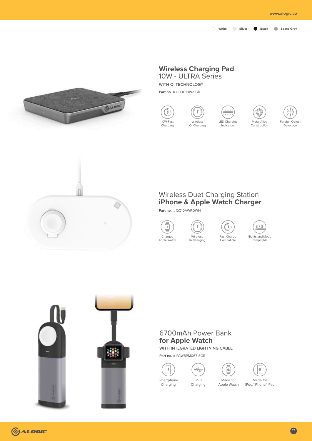

# **Wireless Charging Pad**

10W - ULTRA Series

**WITH Qi TECHNOLOGY**

**Part no.** ULQC10W-SGR









示 Foreign Object Detection



## Wireless Duet Charging Station **iPhone & Apple Watch Charger**

**Part no.** O QC10AWRDWH









## 6700mAh Power Bank **for Apple Watch**

**WITH INTEGRATED LIGHTNING CABLE**

USB Charging

 $\begin{picture}(180,10) \put(0,0){\line(1,0){10}} \put(15,0){\line(1,0){10}} \put(15,0){\line(1,0){10}} \put(15,0){\line(1,0){10}} \put(15,0){\line(1,0){10}} \put(15,0){\line(1,0){10}} \put(15,0){\line(1,0){10}} \put(15,0){\line(1,0){10}} \put(15,0){\line(1,0){10}} \put(15,0){\line(1,0){10}} \put(15,0){\line(1,0){10}} \put(15,0){\line($ 

**Part no.** PAW8PM067-SGR



Charging



Made for Apple Watch

Made for iPod/ iPhone/ iPad

é

(1) ALOGIC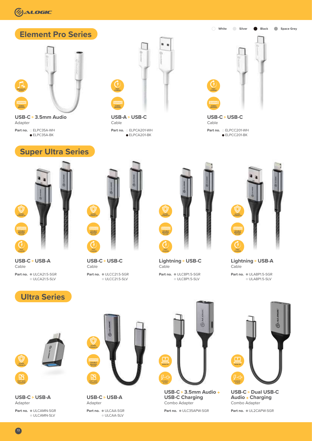

**FAST DATA TRANSFER**

**Part no.** ULCAMN-SGR **USB-C USB-A** Adapter

ULCAMN-SLV



**Part no.** ULCAA-SGR ULCAA-SLV **USB-C USB-A** Adapter



**Part no.** ULC35APW-SGR **USB-C 3.5mm Audio USB-C Charging** Combo Adapter



**Part no.** UL2CAPW-SGR **USB-C ▷ Dual USB-C Audio + Charging** Combo Adapter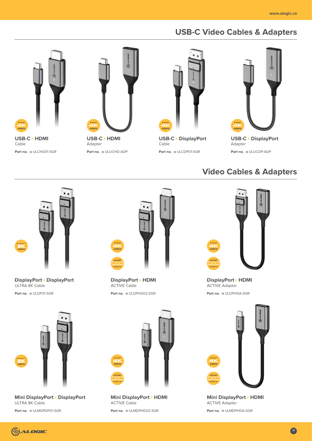# **USB-C Video Cables & Adapters**



**Part no.** ULCHD01-SGR Cable



**Part no.**  $\bullet$  ULUCHD-ADP



**Part no.** ULCDP01-SGR Cable



**Part no.**  $\bullet$  ULUCDP-ADP **USB-C ▷ DisplayPort** Adapter

# **Video Cables & Adapters**



Part no.  $\bullet$  ULDP01-SGR **DisplayPort** ▷ DisplayPort ULTRA 8K Cable



**DisplayPort • HDMI** ACTIVE Cable

Part no. OULDPHD02-SGR



**Part no.**  $\bullet$  ULDPHDA-SGR **DisplayPort • HDMI** ACTIVE Adapter



**Part no.** ULMDPDP01-SGR **Mini DisplayPort DisplayPort** ULTRA 8K Cable



**Part no.** ULMDPHD02-SGR **Mini DisplayPort • HDMI** ACTIVE Cable



**Part no. ULMDPHDA-SGR Mini DisplayPort • HDMI** ACTIVE Adapter